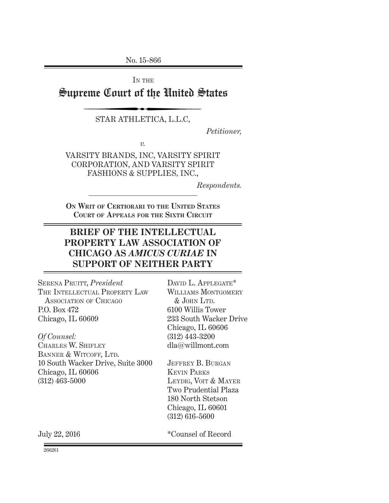No. 15-866

IN THE

# Supreme Court of the United States

STAR ATHLETICA, L.L.C,

*Petitioner,*

*v.*

VARSITY BRANDS, INC, VARSITY SPIRIT CORPORATION, AND VARSITY SPIRIT FASHIONS & SUPPLIES, INC.,

*Respondents.*

**On Writ of Certiorari to the United States Court of Appeals for the Sixth Circuit**

# **BRIEF OF THE INTELLECTUAL PROPERTY LAW ASSOCIATION OF CHICAGO AS** *AMICUS CURIAE* **IN SUPPORT OF NEITHER PARTY**

SERENA PRUITT, *President* THE INTELLECTUAL PROPERTY LAW Association of Chicago P.O. Box 472 Chicago, IL 60609

*Of Counsel:* Charles W. Shifley BANNER & WITCOFF, LTD. 10 South Wacker Drive, Suite 3000 Chicago, IL 60606 (312) 463-5000

DAVID L. APPLEGATE\* WILLIAMS MONTGOMERY  $&$  JOHN LTD. 6100 Willis Tower 233 South Wacker Drive Chicago, IL 60606 (312) 443-3200 dla@willmont.com

JEFFREY B. BURGAN Kevin Parks LEYDIG, VOIT & MAYER Two Prudential Plaza 180 North Stetson Chicago, IL 60601 (312) 616-5600

July 22, 2016

\*Counsel of Record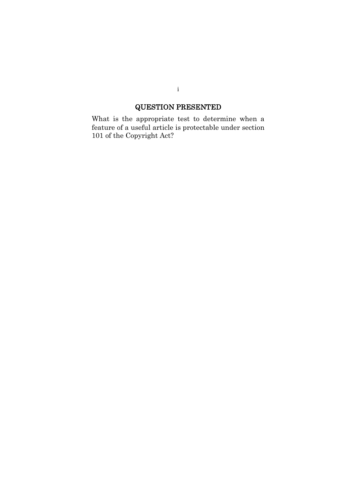# QUESTION PRESENTED

What is the appropriate test to determine when a feature of a useful article is protectable under section 101 of the Copyright Act?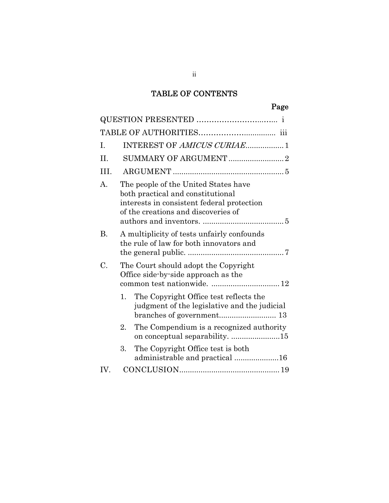# TABLE OF CONTENTS

# Page

| I.        | INTEREST OF AMICUS CURIAE1                                                                                                                                     |
|-----------|----------------------------------------------------------------------------------------------------------------------------------------------------------------|
| II.       |                                                                                                                                                                |
| III.      |                                                                                                                                                                |
| A.        | The people of the United States have<br>both practical and constitutional<br>interests in consistent federal protection<br>of the creations and discoveries of |
| <b>B.</b> | A multiplicity of tests unfairly confounds<br>the rule of law for both innovators and                                                                          |
| C.        | The Court should adopt the Copyright<br>Office side by side approach as the<br>common test nationwide.  12                                                     |
|           | The Copyright Office test reflects the<br>1.<br>judgment of the legislative and the judicial                                                                   |
|           | The Compendium is a recognized authority<br>2.<br>on conceptual separability. 15                                                                               |
|           | The Copyright Office test is both<br>3.<br>administrable and practical 16                                                                                      |
| IV.       |                                                                                                                                                                |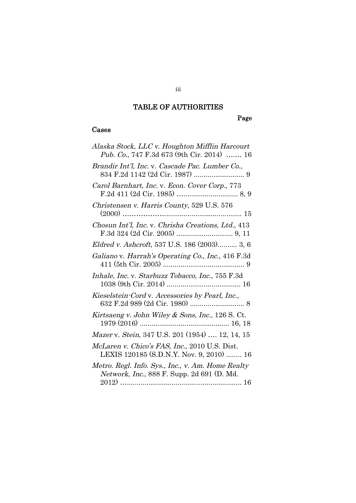# TABLE OF AUTHORITIES

# Page

## Cases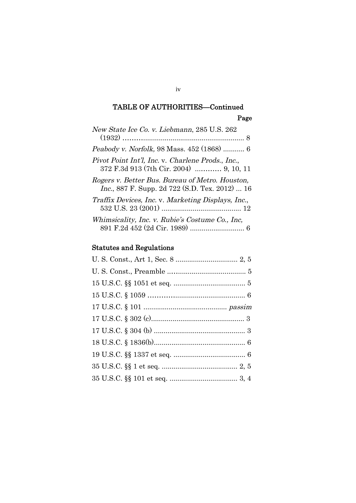# TABLE OF AUTHORITIES—Continued Page

| New State Ice Co. v. Liebmann, 285 U.S. 262                                                               |
|-----------------------------------------------------------------------------------------------------------|
| Peabody v. Norfolk, 98 Mass. 452 (1868)  6                                                                |
| Pivot Point Int'l, Inc. v. Charlene Prods., Inc.,<br>372 F.3d 913 (7th Cir. 2004)  9, 10, 11              |
| Rogers v. Better Bus. Bureau of Metro. Houston,<br><i>Inc.</i> , 887 F. Supp. 2d 722 (S.D. Tex. 2012)  16 |
| Traffix Devices, Inc. v. Marketing Displays, Inc.,                                                        |
| Whimsicality, Inc. v. Rubie's Costume Co., Inc.                                                           |

# Statutes and Regulations

### iv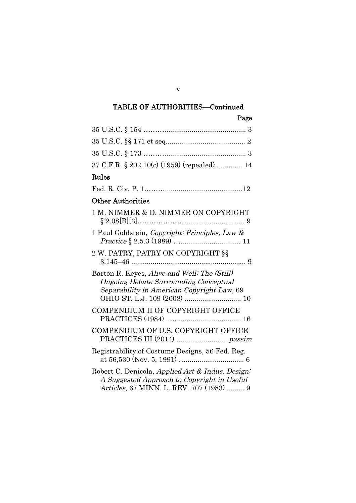# TABLE OF AUTHORITIES—Continued

| Page                                                                                                                                        |
|---------------------------------------------------------------------------------------------------------------------------------------------|
|                                                                                                                                             |
|                                                                                                                                             |
|                                                                                                                                             |
| 37 C.F.R. § 202.10(c) (1959) (repealed)  14                                                                                                 |
| $\rm{Rules}$                                                                                                                                |
|                                                                                                                                             |
| Other Authorities                                                                                                                           |
| 1 M. NIMMER & D. NIMMER ON COPYRIGHT                                                                                                        |
| 1 Paul Goldstein, Copyright: Principles, Law &                                                                                              |
| 2 W. PATRY, PATRY ON COPYRIGHT §§                                                                                                           |
| Barton R. Keyes, Alive and Well: The (Still)<br><b>Ongoing Debate Surrounding Conceptual</b><br>Separability in American Copyright Law, 69  |
| COMPENDIUM II OF COPYRIGHT OFFICE                                                                                                           |
| COMPENDIUM OF U.S. COPYRIGHT OFFICE                                                                                                         |
| Registrability of Costume Designs, 56 Fed. Reg.                                                                                             |
| Robert C. Denicola, Applied Art & Indus. Design:<br>A Suggested Approach to Copyright in Useful<br>Articles, 67 MINN. L. REV. 707 (1983)  9 |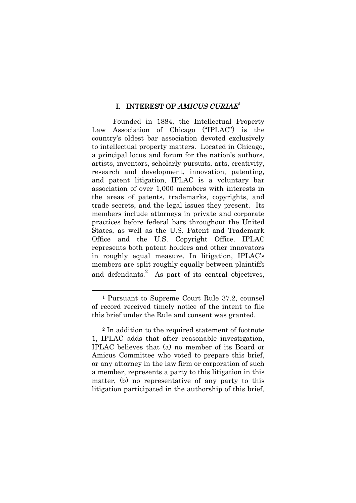## I. INTEREST OF AMICUS CURIAE<sup>1</sup>

Founded in 1884, the Intellectual Property Law Association of Chicago ("IPLAC") is the country's oldest bar association devoted exclusively to intellectual property matters. Located in Chicago, a principal locus and forum for the nation's authors, artists, inventors, scholarly pursuits, arts, creativity, research and development, innovation, patenting, and patent litigation, IPLAC is a voluntary bar association of over 1,000 members with interests in the areas of patents, trademarks, copyrights, and trade secrets, and the legal issues they present. Its members include attorneys in private and corporate practices before federal bars throughout the United States, as well as the U.S. Patent and Trademark Office and the U.S. Copyright Office. IPLAC represents both patent holders and other innovators in roughly equal measure. In litigation, IPLAC's members are split roughly equally between plaintiffs and defendants.<sup>2</sup> As part of its central objectives,

<sup>1</sup> Pursuant to Supreme Court Rule 37.2, counsel of record received timely notice of the intent to file this brief under the Rule and consent was granted.

<sup>2</sup> In addition to the required statement of footnote 1, IPLAC adds that after reasonable investigation, IPLAC believes that (a) no member of its Board or Amicus Committee who voted to prepare this brief, or any attorney in the law firm or corporation of such a member, represents a party to this litigation in this matter, (b) no representative of any party to this litigation participated in the authorship of this brief,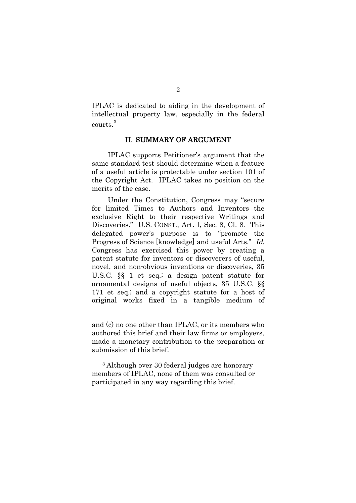IPLAC is dedicated to aiding in the development of intellectual property law, especially in the federal courts.<sup>3</sup>

#### II. SUMMARY OF ARGUMENT

IPLAC supports Petitioner's argument that the same standard test should determine when a feature of a useful article is protectable under section 101 of the Copyright Act. IPLAC takes no position on the merits of the case.

Under the Constitution, Congress may "secure for limited Times to Authors and Inventors the exclusive Right to their respective Writings and Discoveries." U.S. CONST., Art. I, Sec. 8, Cl. 8. This delegated power's purpose is to "promote the Progress of Science [knowledge] and useful Arts." Id. Congress has exercised this power by creating a patent statute for inventors or discoverers of useful, novel, and non-obvious inventions or discoveries, 35 U.S.C. §§ 1 et seq.; a design patent statute for ornamental designs of useful objects, 35 U.S.C. §§ 171 et seq.; and a copyright statute for a host of original works fixed in a tangible medium of

and (c) no one other than IPLAC, or its members who authored this brief and their law firms or employers, made a monetary contribution to the preparation or submission of this brief.

<sup>3</sup> Although over 30 federal judges are honorary members of IPLAC, none of them was consulted or participated in any way regarding this brief.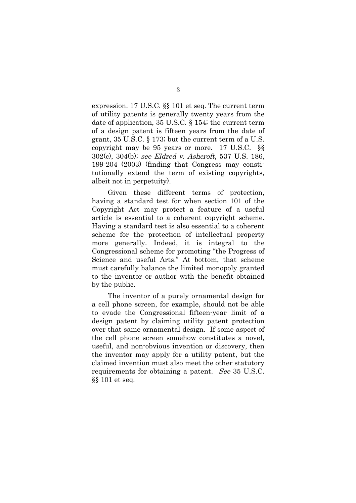expression. 17 U.S.C. §§ 101 et seq. The current term of utility patents is generally twenty years from the date of application, 35 U.S.C. § 154; the current term of a design patent is fifteen years from the date of grant, 35 U.S.C. § 173; but the current term of a U.S. copyright may be 95 years or more. 17 U.S.C. §§ 302(c), 304(b); see Eldred v. Ashcroft, 537 U.S. 186, 199-204 (2003) (finding that Congress may constitutionally extend the term of existing copyrights, albeit not in perpetuity).

Given these different terms of protection, having a standard test for when section 101 of the Copyright Act may protect a feature of a useful article is essential to a coherent copyright scheme. Having a standard test is also essential to a coherent scheme for the protection of intellectual property more generally. Indeed, it is integral to the Congressional scheme for promoting "the Progress of Science and useful Arts." At bottom, that scheme must carefully balance the limited monopoly granted to the inventor or author with the benefit obtained by the public.

The inventor of a purely ornamental design for a cell phone screen, for example, should not be able to evade the Congressional fifteen-year limit of a design patent by claiming utility patent protection over that same ornamental design. If some aspect of the cell phone screen somehow constitutes a novel, useful, and non-obvious invention or discovery, then the inventor may apply for a utility patent, but the claimed invention must also meet the other statutory requirements for obtaining a patent. See 35 U.S.C. §§ 101 et seq.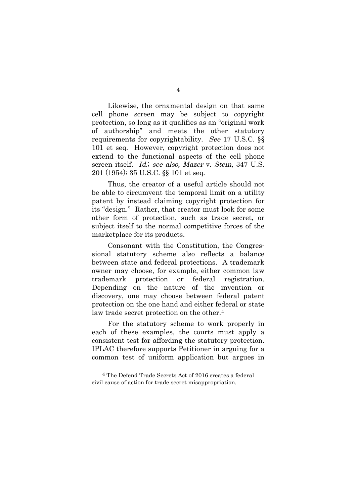Likewise, the ornamental design on that same cell phone screen may be subject to copyright protection, so long as it qualifies as an "original work of authorship" and meets the other statutory requirements for copyrightability. See 17 U.S.C. §§ 101 et seq. However, copyright protection does not extend to the functional aspects of the cell phone screen itself. Id.; see also, Mazer v. Stein, 347 U.S. 201 (1954); 35 U.S.C. §§ 101 et seq.

Thus, the creator of a useful article should not be able to circumvent the temporal limit on a utility patent by instead claiming copyright protection for its "design." Rather, that creator must look for some other form of protection, such as trade secret, or subject itself to the normal competitive forces of the marketplace for its products.

Consonant with the Constitution, the Congressional statutory scheme also reflects a balance between state and federal protections. A trademark owner may choose, for example, either common law trademark protection or federal registration. Depending on the nature of the invention or discovery, one may choose between federal patent protection on the one hand and either federal or state law trade secret protection on the other.<sup>4</sup>

For the statutory scheme to work properly in each of these examples, the courts must apply a consistent test for affording the statutory protection. IPLAC therefore supports Petitioner in arguing for a common test of uniform application but argues in

<sup>4</sup> The Defend Trade Secrets Act of 2016 creates a federal civil cause of action for trade secret misappropriation.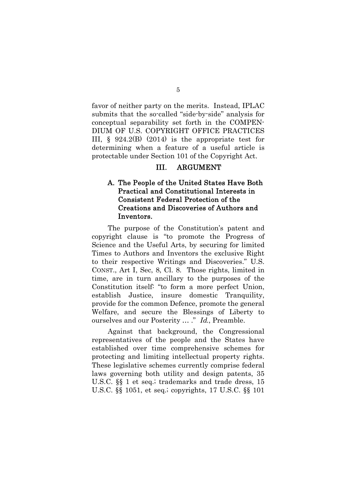favor of neither party on the merits. Instead, IPLAC submits that the so-called "side-by-side" analysis for conceptual separability set forth in the COMPEN-DIUM OF U.S. COPYRIGHT OFFICE PRACTICES III, § 924.2(B) (2014) is the appropriate test for determining when a feature of a useful article is protectable under Section 101 of the Copyright Act.

## III. ARGUMENT

## A. The People of the United States Have Both Practical and Constitutional Interests in Consistent Federal Protection of the Creations and Discoveries of Authors and Inventors.

The purpose of the Constitution's patent and copyright clause is "to promote the Progress of Science and the Useful Arts, by securing for limited Times to Authors and Inventors the exclusive Right to their respective Writings and Discoveries." U.S. CONST., Art I, Sec, 8, Cl. 8. Those rights, limited in time, are in turn ancillary to the purposes of the Constitution itself: "to form a more perfect Union, establish Justice, insure domestic Tranquility, provide for the common Defence, promote the general Welfare, and secure the Blessings of Liberty to ourselves and our Posterity ... ." Id., Preamble.

Against that background, the Congressional representatives of the people and the States have established over time comprehensive schemes for protecting and limiting intellectual property rights. These legislative schemes currently comprise federal laws governing both utility and design patents, 35 U.S.C. §§ 1 et seq.; trademarks and trade dress, 15 U.S.C. §§ 1051, et seq.; copyrights, 17 U.S.C. §§ 101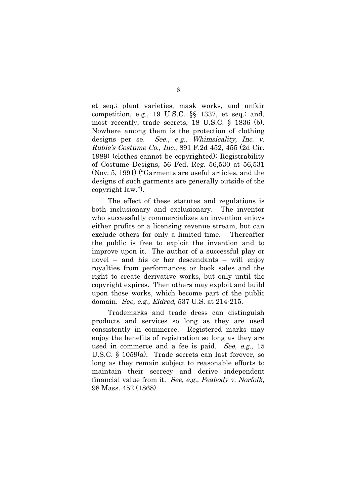et seq.; plant varieties, mask works, and unfair competition, e.g., 19 U.S.C. §§ 1337, et seq.; and, most recently, trade secrets, 18 U.S.C. § 1836 (b). Nowhere among them is the protection of clothing designs per se. See., e.g., Whimsicality, Inc. v. Rubie's Costume Co., Inc., 891 F.2d 452, 455 (2d Cir. 1989) (clothes cannot be copyrighted); Registrability of Costume Designs, 56 Fed. Reg. 56,530 at 56,531 (Nov. 5, 1991) ("Garments are useful articles, and the designs of such garments are generally outside of the copyright law.").

The effect of these statutes and regulations is both inclusionary and exclusionary. The inventor who successfully commercializes an invention enjoys either profits or a licensing revenue stream, but can exclude others for only a limited time. Thereafter the public is free to exploit the invention and to improve upon it. The author of a successful play or novel – and his or her descendants – will enjoy royalties from performances or book sales and the right to create derivative works, but only until the copyright expires. Then others may exploit and build upon those works, which become part of the public domain. See, e.g., Eldred, 537 U.S. at 214-215.

Trademarks and trade dress can distinguish products and services so long as they are used consistently in commerce. Registered marks may enjoy the benefits of registration so long as they are used in commerce and a fee is paid. See, e.g., 15 U.S.C. § 1059(a). Trade secrets can last forever, so long as they remain subject to reasonable efforts to maintain their secrecy and derive independent financial value from it. See, e.g., Peabody v. Norfolk, 98 Mass. 452 (1868).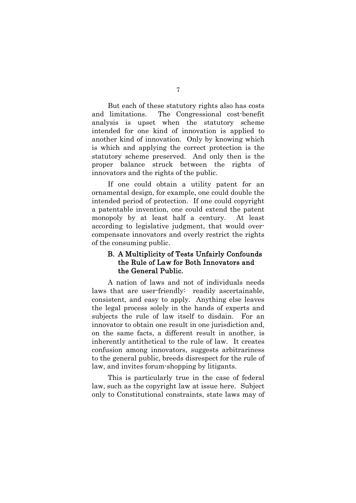But each of these statutory rights also has costs and limitations. The Congressional cost-benefit analysis is upset when the statutory scheme intended for one kind of innovation is applied to another kind of innovation. Only by knowing which is which and applying the correct protection is the statutory scheme preserved. And only then is the proper balance struck between the rights of innovators and the rights of the public.

If one could obtain a utility patent for an ornamental design, for example, one could double the intended period of protection. If one could copyright a patentable invention, one could extend the patent monopoly by at least half a century. At least according to legislative judgment, that would overcompensate innovators and overly restrict the rights of the consuming public.

## B. A Multiplicity of Tests Unfairly Confounds the Rule of Law for Both Innovators and the General Public.

A nation of laws and not of individuals needs laws that are user-friendly: readily ascertainable, consistent, and easy to apply. Anything else leaves the legal process solely in the hands of experts and subjects the rule of law itself to disdain. For an innovator to obtain one result in one jurisdiction and, on the same facts, a different result in another, is inherently antithetical to the rule of law. It creates confusion among innovators, suggests arbitrariness to the general public, breeds disrespect for the rule of law, and invites forum-shopping by litigants.

This is particularly true in the case of federal law, such as the copyright law at issue here. Subject only to Constitutional constraints, state laws may of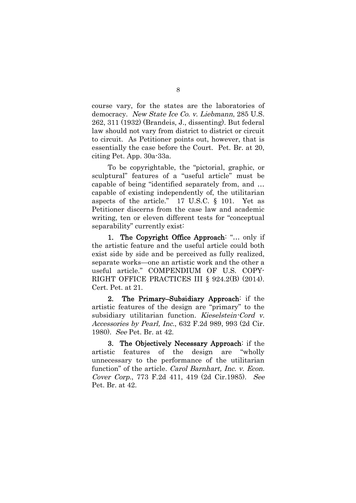course vary, for the states are the laboratories of democracy. New State Ice Co. v. Liebmann, 285 U.S. 262, 311 (1932) (Brandeis, J., dissenting). But federal law should not vary from district to district or circuit to circuit. As Petitioner points out, however, that is essentially the case before the Court. Pet. Br. at 20, citing Pet. App. 30a-33a.

To be copyrightable, the "pictorial, graphic, or sculptural" features of a "useful article" must be capable of being "identified separately from, and … capable of existing independently of, the utilitarian aspects of the article." 17 U.S.C. § 101. Yet as Petitioner discerns from the case law and academic writing, ten or eleven different tests for "conceptual separability" currently exist:

1. The Copyright Office Approach: "… only if the artistic feature and the useful article could both exist side by side and be perceived as fully realized, separate works—one an artistic work and the other a useful article." COMPENDIUM OF U.S. COPY-RIGHT OFFICE PRACTICES III § 924.2(B) (2014). Cert. Pet. at 21.

2. The Primary–Subsidiary Approach: if the artistic features of the design are "primary" to the subsidiary utilitarian function. Kieselstein-Cord v. Accessories by Pearl, Inc., 632 F.2d 989, 993 (2d Cir. 1980). See Pet. Br. at 42.

3. The Objectively Necessary Approach: if the artistic features of the design are "wholly unnecessary to the performance of the utilitarian function" of the article. *Carol Barnhart*, *Inc. v. Econ.* Cover Corp., 773 F.2d 411, 419 (2d Cir.1985). See Pet. Br. at 42.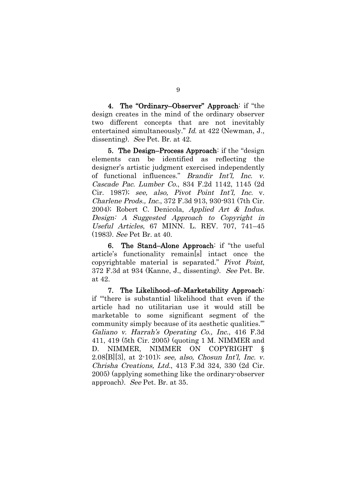4. The "Ordinary–Observer" Approach: if "the design creates in the mind of the ordinary observer two different concepts that are not inevitably entertained simultaneously." Id. at 422 (Newman, J., dissenting). See Pet. Br. at 42.

5. The Design–Process Approach: if the "design elements can be identified as reflecting the designer's artistic judgment exercised independently of functional influences." Brandir Int'l, Inc. v. Cascade Pac. Lumber Co., 834 F.2d 1142, 1145 (2d Cir. 1987); see, also, Pivot Point Int'l, Inc. v. Charlene Prods., Inc., 372 F.3d 913, 930-931 (7th Cir. 2004); Robert C. Denicola, Applied Art & Indus. Design: A Suggested Approach to Copyright in Useful Articles, 67 MINN. L. REV. 707, 741–45 (1983). See Pet Br. at 40.

6. The Stand–Alone Approach: if "the useful article's functionality remain[s] intact once the copyrightable material is separated." Pivot Point, 372 F.3d at 934 (Kanne, J., dissenting). See Pet. Br. at 42.

7. The Likelihood–of–Marketability Approach: if "'there is substantial likelihood that even if the article had no utilitarian use it would still be marketable to some significant segment of the community simply because of its aesthetic qualities.'" Galiano v. Harrah's Operating Co., Inc., 416 F.3d 411, 419 (5th Cir. 2005) (quoting 1 M. NIMMER and D. NIMMER, NIMMER ON COPYRIGHT 2.08[B][3], at 2-101); see, also, Chosun Int'l, Inc. v. Chrisha Creations, Ltd., 413 F.3d 324, 330 (2d Cir. 2005) (applying something like the ordinary-observer approach). See Pet. Br. at 35.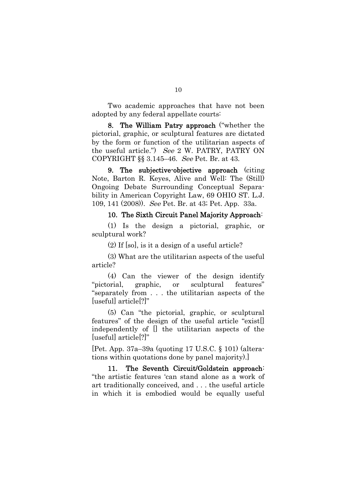Two academic approaches that have not been adopted by any federal appellate courts:

8. The William Patry approach ("whether the pictorial, graphic, or sculptural features are dictated by the form or function of the utilitarian aspects of the useful article.") See 2 W. PATRY, PATRY ON COPYRIGHT §§ 3.145–46. See Pet. Br. at 43.

9. The subjective-objective approach (citing Note, Barton R. Keyes, Alive and Well: The (Still) Ongoing Debate Surrounding Conceptual Separability in American Copyright Law, 69 OHIO ST. L.J. 109, 141 (2008)). See Pet. Br. at 43; Pet. App. 33a.

#### 10. The Sixth Circuit Panel Majority Approach:

(1) Is the design a pictorial, graphic, or sculptural work?

(2) If [so], is it a design of a useful article?

(3) What are the utilitarian aspects of the useful article?

(4) Can the viewer of the design identify "pictorial, graphic, or sculptural features" "separately from . . . the utilitarian aspects of the [useful] article[?]"

(5) Can "the pictorial, graphic, or sculptural features" of the design of the useful article "exist[] independently of [] the utilitarian aspects of the [useful] article[?]"

[Pet. App. 37a–39a (quoting 17 U.S.C. § 101) (alterations within quotations done by panel majority).]

11. The Seventh Circuit/Goldstein approach: "the artistic features 'can stand alone as a work of art traditionally conceived, and . . . the useful article in which it is embodied would be equally useful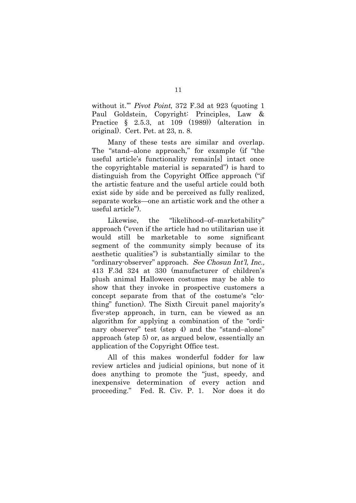without it." *Pivot Point*, 372 F.3d at 923 (quoting 1) Paul Goldstein, Copyright: Principles, Law & Practice § 2.5.3, at 109 (1989)) (alteration in original). Cert. Pet. at 23, n. 8.

Many of these tests are similar and overlap. The "stand–alone approach," for example (if "the useful article's functionality remain[s] intact once the copyrightable material is separated") is hard to distinguish from the Copyright Office approach ("if the artistic feature and the useful article could both exist side by side and be perceived as fully realized, separate works—one an artistic work and the other a useful article").

Likewise, the "likelihood–of–marketability" approach ("even if the article had no utilitarian use it would still be marketable to some significant segment of the community simply because of its aesthetic qualities") is substantially similar to the "ordinary-observer" approach. See Chosun Int'l, Inc., 413 F.3d 324 at 330 (manufacturer of children's plush animal Halloween costumes may be able to show that they invoke in prospective customers a concept separate from that of the costume's "clothing" function). The Sixth Circuit panel majority's five-step approach, in turn, can be viewed as an algorithm for applying a combination of the "ordinary observer" test (step 4) and the "stand–alone" approach (step 5) or, as argued below, essentially an application of the Copyright Office test.

All of this makes wonderful fodder for law review articles and judicial opinions, but none of it does anything to promote the "just, speedy, and inexpensive determination of every action and proceeding." Fed. R. Civ. P. 1. Nor does it do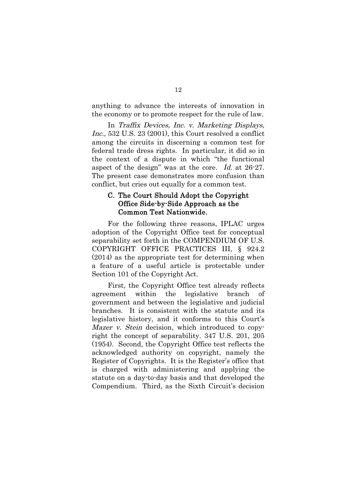anything to advance the interests of innovation in the economy or to promote respect for the rule of law.

In Traffix Devices, Inc. v. Marketing Displays, Inc., 532 U.S. 23 (2001), this Court resolved a conflict among the circuits in discerning a common test for federal trade dress rights. In particular, it did so in the context of a dispute in which "the functional aspect of the design" was at the core. Id. at 26-27. The present case demonstrates more confusion than conflict, but cries out equally for a common test.

### C. The Court Should Adopt the Copyright Office Side-by-Side Approach as the Common Test Nationwide.

For the following three reasons, IPLAC urges adoption of the Copyright Office test for conceptual separability set forth in the COMPENDIUM OF U.S. COPYRIGHT OFFICE PRACTICES III, § 924.2 (2014) as the appropriate test for determining when a feature of a useful article is protectable under Section 101 of the Copyright Act.

First, the Copyright Office test already reflects agreement within the legislative branch of government and between the legislative and judicial branches. It is consistent with the statute and its legislative history, and it conforms to this Court's Mazer v. Stein decision, which introduced to copyright the concept of separability. 347 U.S. 201, 205 (1954). Second, the Copyright Office test reflects the acknowledged authority on copyright, namely the Register of Copyrights. It is the Register's office that is charged with administering and applying the statute on a day-to-day basis and that developed the Compendium. Third, as the Sixth Circuit's decision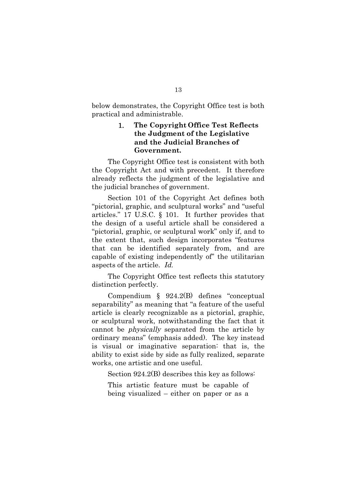below demonstrates, the Copyright Office test is both practical and administrable.

### 1. **The Copyright Office Test Reflects the Judgment of the Legislative and the Judicial Branches of Government.**

The Copyright Office test is consistent with both the Copyright Act and with precedent. It therefore already reflects the judgment of the legislative and the judicial branches of government.

Section 101 of the Copyright Act defines both "pictorial, graphic, and sculptural works" and "useful articles." 17 U.S.C. § 101. It further provides that the design of a useful article shall be considered a "pictorial, graphic, or sculptural work" only if, and to the extent that, such design incorporates "features that can be identified separately from, and are capable of existing independently of" the utilitarian aspects of the article. Id.

The Copyright Office test reflects this statutory distinction perfectly.

Compendium § 924.2(B) defines "conceptual separability" as meaning that "a feature of the useful article is clearly recognizable as a pictorial, graphic, or sculptural work, notwithstanding the fact that it cannot be physically separated from the article by ordinary means" (emphasis added). The key instead is visual or imaginative separation: that is, the ability to exist side by side as fully realized, separate works, one artistic and one useful.

Section 924.2(B) describes this key as follows:

This artistic feature must be capable of being visualized – either on paper or as a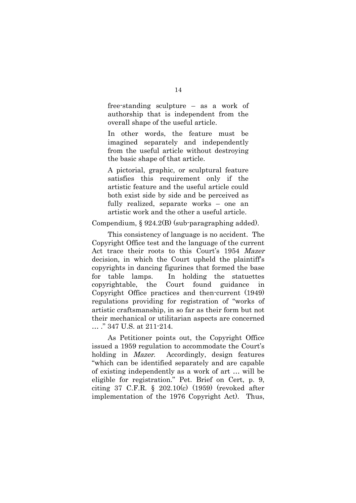free-standing sculpture – as a work of authorship that is independent from the overall shape of the useful article.

In other words, the feature must be imagined separately and independently from the useful article without destroying the basic shape of that article.

A pictorial, graphic, or sculptural feature satisfies this requirement only if the artistic feature and the useful article could both exist side by side and be perceived as fully realized, separate works – one an artistic work and the other a useful article.

Compendium, § 924.2(B) (sub-paragraphing added).

This consistency of language is no accident. The Copyright Office test and the language of the current Act trace their roots to this Court's 1954 Mazer decision, in which the Court upheld the plaintiff's copyrights in dancing figurines that formed the base for table lamps. In holding the statuettes copyrightable, the Court found guidance in Copyright Office practices and then-current (1949) regulations providing for registration of "works of artistic craftsmanship, in so far as their form but not their mechanical or utilitarian aspects are concerned … ." 347 U.S. at 211-214.

As Petitioner points out, the Copyright Office issued a 1959 regulation to accommodate the Court's holding in *Mazer*. Accordingly, design features "which can be identified separately and are capable of existing independently as a work of art … will be eligible for registration." Pet. Brief on Cert, p. 9, citing 37 C.F.R. § 202.10(c) (1959) (revoked after implementation of the 1976 Copyright Act). Thus,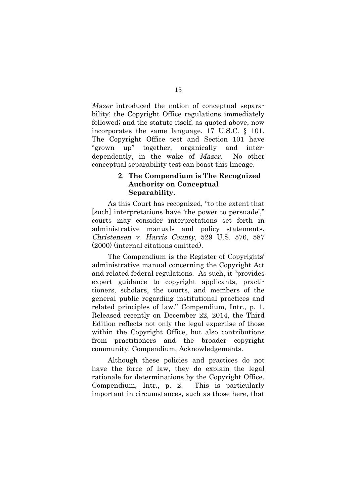Mazer introduced the notion of conceptual separability; the Copyright Office regulations immediately followed; and the statute itself, as quoted above, now incorporates the same language. 17 U.S.C. § 101. The Copyright Office test and Section 101 have "grown up" together, organically and interdependently, in the wake of Mazer. No other conceptual separability test can boast this lineage.

### 2. **The Compendium is The Recognized Authority on Conceptual Separability.**

As this Court has recognized, "to the extent that [such] interpretations have 'the power to persuade'," courts may consider interpretations set forth in administrative manuals and policy statements. Christensen v. Harris County, 529 U.S. 576, 587 (2000) (internal citations omitted).

The Compendium is the Register of Copyrights' administrative manual concerning the Copyright Act and related federal regulations. As such, it "provides expert guidance to copyright applicants, practitioners, scholars, the courts, and members of the general public regarding institutional practices and related principles of law." Compendium, Intr., p. 1. Released recently on December 22, 2014, the Third Edition reflects not only the legal expertise of those within the Copyright Office, but also contributions from practitioners and the broader copyright community. Compendium, Acknowledgements.

Although these policies and practices do not have the force of law, they do explain the legal rationale for determinations by the Copyright Office. Compendium, Intr., p. 2. This is particularly important in circumstances, such as those here, that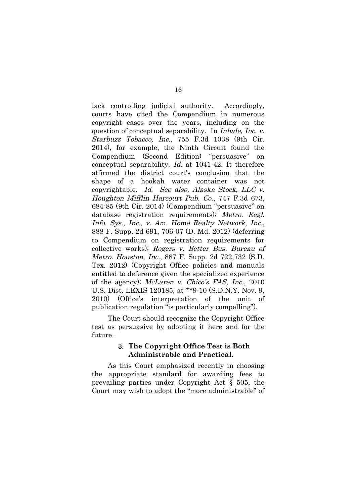lack controlling judicial authority. Accordingly, courts have cited the Compendium in numerous copyright cases over the years, including on the question of conceptual separability. In Inhale, Inc. v. Starbuzz Tobacco, Inc., 755 F.3d 1038 (9th Cir. 2014), for example, the Ninth Circuit found the Compendium (Second Edition) "persuasive" on conceptual separability. Id. at 1041-42. It therefore affirmed the district court's conclusion that the shape of a hookah water container was not copyrightable. Id. See also, Alaska Stock, LLC v. Houghton Mifflin Harcourt Pub. Co., 747 F.3d 673, 684-85 (9th Cir. 2014) (Compendium "persuasive" on database registration requirements); Metro. Regl. Info. Sys., Inc., v. Am. Home Realty Network, Inc., 888 F. Supp. 2d 691, 706-07 (D. Md. 2012) (deferring to Compendium on registration requirements for collective works); Rogers v. Better Bus. Bureau of Metro. Houston, Inc., 887 F. Supp. 2d 722,732 (S.D. Tex. 2012) (Copyright Office policies and manuals entitled to deference given the specialized experience of the agency); McLaren v. Chico's FAS, Inc., 2010 U.S. Dist. LEXIS 120185, at \*\*9-10 (S.D.N.Y. Nov. 9, 2010) (Office's interpretation of the unit of publication regulation "is particularly compelling").

The Court should recognize the Copyright Office test as persuasive by adopting it here and for the future.

### 3. **The Copyright Office Test is Both Administrable and Practical.**

As this Court emphasized recently in choosing the appropriate standard for awarding fees to prevailing parties under Copyright Act § 505, the Court may wish to adopt the "more administrable" of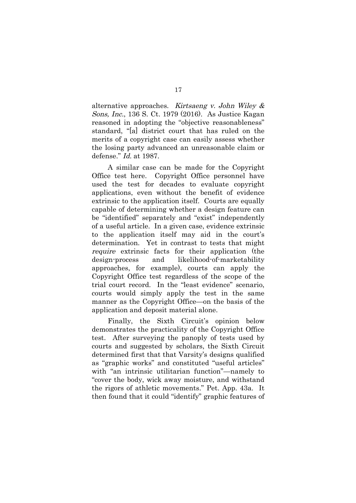alternative approaches. Kirtsaeng v. John Wiley & Sons, Inc., 136 S. Ct. 1979 (2016). As Justice Kagan reasoned in adopting the "objective reasonableness" standard, "[a] district court that has ruled on the merits of a copyright case can easily assess whether the losing party advanced an unreasonable claim or defense." Id. at 1987.

A similar case can be made for the Copyright Office test here. Copyright Office personnel have used the test for decades to evaluate copyright applications, even without the benefit of evidence extrinsic to the application itself. Courts are equally capable of determining whether a design feature can be "identified" separately and "exist" independently of a useful article. In a given case, evidence extrinsic to the application itself may aid in the court's determination. Yet in contrast to tests that might require extrinsic facts for their application (the design-process and likelihood-of-marketability approaches, for example), courts can apply the Copyright Office test regardless of the scope of the trial court record. In the "least evidence" scenario, courts would simply apply the test in the same manner as the Copyright Office—on the basis of the application and deposit material alone.

Finally, the Sixth Circuit's opinion below demonstrates the practicality of the Copyright Office test. After surveying the panoply of tests used by courts and suggested by scholars, the Sixth Circuit determined first that that Varsity's designs qualified as "graphic works" and constituted "useful articles" with "an intrinsic utilitarian function"—namely to "cover the body, wick away moisture, and withstand the rigors of athletic movements." Pet. App. 43a. It then found that it could "identify" graphic features of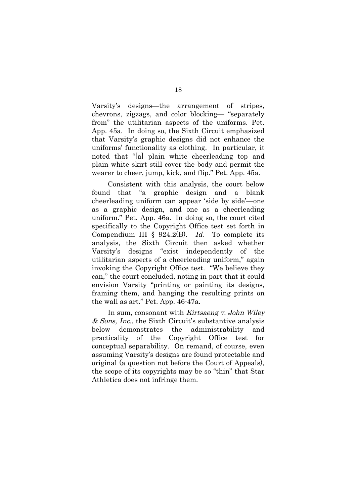Varsity's designs—the arrangement of stripes, chevrons, zigzags, and color blocking— "separately from" the utilitarian aspects of the uniforms. Pet. App. 45a. In doing so, the Sixth Circuit emphasized that Varsity's graphic designs did not enhance the uniforms' functionality as clothing. In particular, it noted that "[a] plain white cheerleading top and plain white skirt still cover the body and permit the wearer to cheer, jump, kick, and flip." Pet. App. 45a.

Consistent with this analysis, the court below found that "a graphic design and a blank cheerleading uniform can appear 'side by side'—one as a graphic design, and one as a cheerleading uniform." Pet. App. 46a. In doing so, the court cited specifically to the Copyright Office test set forth in Compendium III §  $924.2(B)$ . *Id.* To complete its analysis, the Sixth Circuit then asked whether Varsity's designs "exist independently of the utilitarian aspects of a cheerleading uniform," again invoking the Copyright Office test. "We believe they can," the court concluded, noting in part that it could envision Varsity "printing or painting its designs, framing them, and hanging the resulting prints on the wall as art." Pet. App. 46-47a.

In sum, consonant with Kirtsaeng v. John Wiley & Sons, Inc., the Sixth Circuit's substantive analysis below demonstrates the administrability and practicality of the Copyright Office test for conceptual separability. On remand, of course, even assuming Varsity's designs are found protectable and original (a question not before the Court of Appeals), the scope of its copyrights may be so "thin" that Star Athletica does not infringe them.